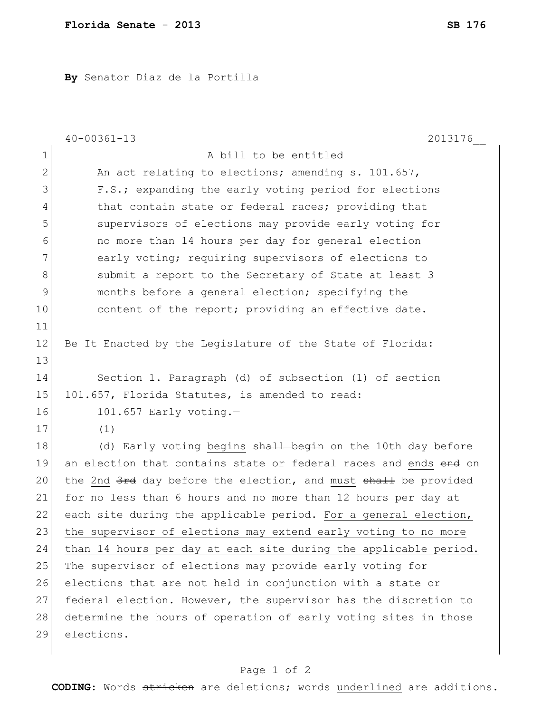**By** Senator Diaz de la Portilla

|                | $40 - 00361 - 13$<br>2013176                                     |
|----------------|------------------------------------------------------------------|
| $\mathbf 1$    | A bill to be entitled                                            |
| $\overline{2}$ | An act relating to elections; amending s. 101.657,               |
| 3              | F.S.; expanding the early voting period for elections            |
| 4              | that contain state or federal races; providing that              |
| 5              | supervisors of elections may provide early voting for            |
| 6              | no more than 14 hours per day for general election               |
| 7              | early voting; requiring supervisors of elections to              |
| 8              | submit a report to the Secretary of State at least 3             |
| 9              | months before a general election; specifying the                 |
| 10             | content of the report; providing an effective date.              |
| 11             |                                                                  |
| 12             | Be It Enacted by the Legislature of the State of Florida:        |
| 13             |                                                                  |
| 14             | Section 1. Paragraph (d) of subsection (1) of section            |
| 15             | 101.657, Florida Statutes, is amended to read:                   |
| 16             | $101.657$ Early voting.-                                         |
| 17             | (1)                                                              |
| 18             | (d) Early voting begins shall begin on the 10th day before       |
| 19             | an election that contains state or federal races and ends end on |
| 20             | the 2nd 3rd day before the election, and must shall be provided  |
| 21             | for no less than 6 hours and no more than 12 hours per day at    |
| 22             | each site during the applicable period. For a general election,  |
| 23             | the supervisor of elections may extend early voting to no more   |
| 24             | than 14 hours per day at each site during the applicable period. |
| 25             | The supervisor of elections may provide early voting for         |
| 26             | elections that are not held in conjunction with a state or       |
| 27             | federal election. However, the supervisor has the discretion to  |
| 28             | determine the hours of operation of early voting sites in those  |
| 29             | elections.                                                       |
|                |                                                                  |

## Page 1 of 2

**CODING**: Words stricken are deletions; words underlined are additions.